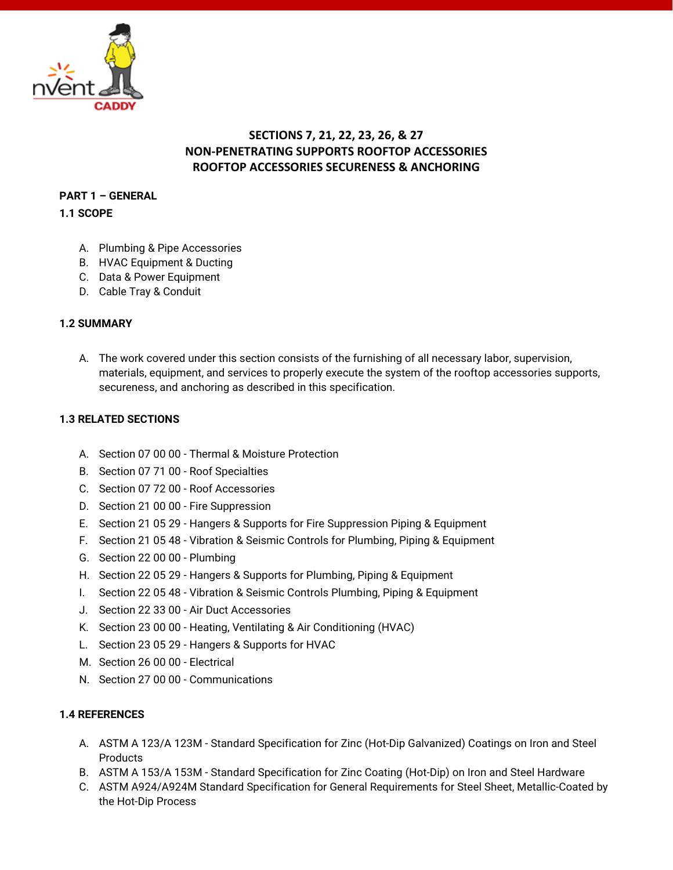

# **SECTIONS 7, 21, 22, 23, 26, & 27 NON-PENETRATING SUPPORTS ROOFTOP ACCESSORIES ROOFTOP ACCESSORIES SECURENESS & ANCHORING**

## **PART 1 – GENERAL**

**1.1 SCOPE**

- A. Plumbing & Pipe Accessories
- B. HVAC Equipment & Ducting
- C. Data & Power Equipment
- D. Cable Tray & Conduit

### **1.2 SUMMARY**

A. The work covered under this section consists of the furnishing of all necessary labor, supervision, materials, equipment, and services to properly execute the system of the rooftop accessories supports, secureness, and anchoring as described in this specification.

### **1.3 RELATED SECTIONS**

- A. Section 07 00 00 Thermal & Moisture Protection
- B. Section 07 71 00 Roof Specialties
- C. Section 07 72 00 Roof Accessories
- D. Section 21 00 00 Fire Suppression
- E. Section 21 05 29 Hangers & Supports for Fire Suppression Piping & Equipment
- F. Section 21 05 48 Vibration & Seismic Controls for Plumbing, Piping & Equipment
- G. Section 22 00 00 Plumbing
- H. Section 22 05 29 Hangers & Supports for Plumbing, Piping & Equipment
- I. Section 22 05 48 Vibration & Seismic Controls Plumbing, Piping & Equipment
- J. Section 22 33 00 Air Duct Accessories
- K. Section 23 00 00 Heating, Ventilating & Air Conditioning (HVAC)
- L. Section 23 05 29 Hangers & Supports for HVAC
- M. Section 26 00 00 Electrical
- N. Section 27 00 00 Communications

#### **1.4 REFERENCES**

- A. ASTM A 123/A 123M Standard Specification for Zinc (Hot-Dip Galvanized) Coatings on Iron and Steel **Products**
- B. ASTM A 153/A 153M Standard Specification for Zinc Coating (Hot-Dip) on Iron and Steel Hardware
- C. ASTM A924/A924M Standard Specification for General Requirements for Steel Sheet, Metallic-Coated by the Hot-Dip Process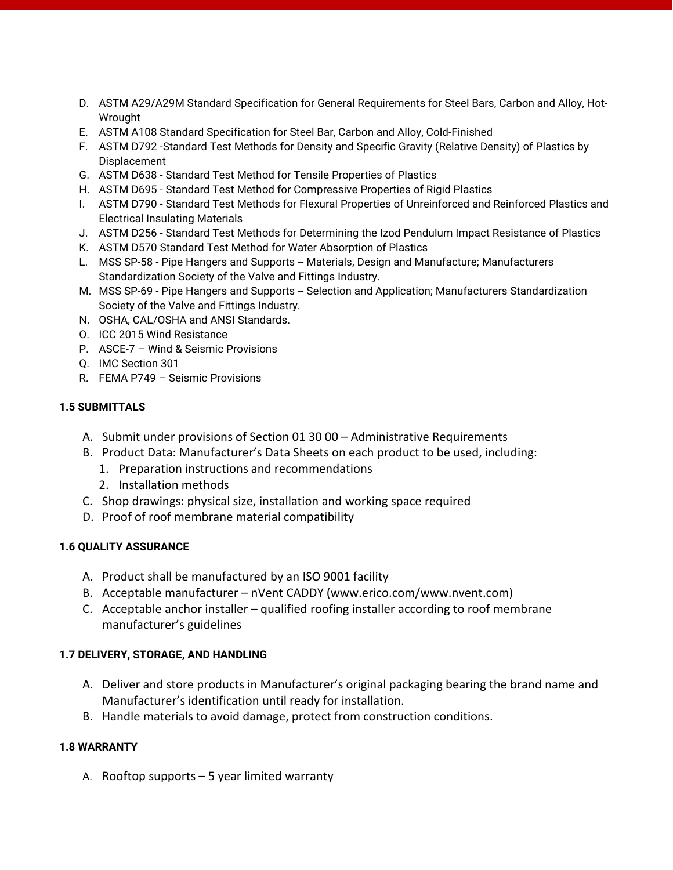- D. ASTM A29/A29M Standard Specification for General Requirements for Steel Bars, Carbon and Alloy, Hot-Wrought
- E. ASTM A108 Standard Specification for Steel Bar, Carbon and Alloy, Cold-Finished
- F. ASTM D792 -Standard Test Methods for Density and Specific Gravity (Relative Density) of Plastics by Displacement
- G. ASTM D638 Standard Test Method for Tensile Properties of Plastics
- H. ASTM D695 Standard Test Method for Compressive Properties of Rigid Plastics
- I. ASTM D790 Standard Test Methods for Flexural Properties of Unreinforced and Reinforced Plastics and Electrical Insulating Materials
- J. ASTM D256 Standard Test Methods for Determining the Izod Pendulum Impact Resistance of Plastics
- K. ASTM D570 Standard Test Method for Water Absorption of Plastics
- L. MSS SP-58 Pipe Hangers and Supports -- Materials, Design and Manufacture; Manufacturers Standardization Society of the Valve and Fittings Industry.
- M. MSS SP-69 Pipe Hangers and Supports -- Selection and Application; Manufacturers Standardization Society of the Valve and Fittings Industry.
- N. OSHA, CAL/OSHA and ANSI Standards.
- O. ICC 2015 Wind Resistance
- P. ASCE-7 Wind & Seismic Provisions
- Q. IMC Section 301
- R. FEMA P749 Seismic Provisions

### **1.5 SUBMITTALS**

- A. Submit under provisions of Section 01 30 00 Administrative Requirements
- B. Product Data: Manufacturer's Data Sheets on each product to be used, including:
	- 1. Preparation instructions and recommendations
	- 2. Installation methods
- C. Shop drawings: physical size, installation and working space required
- D. Proof of roof membrane material compatibility

### **1.6 QUALITY ASSURANCE**

- A. Product shall be manufactured by an ISO 9001 facility
- B. Acceptable manufacturer nVent CADDY (www.erico.com/www.nvent.com)
- C. Acceptable anchor installer qualified roofing installer according to roof membrane manufacturer's guidelines

### **1.7 DELIVERY, STORAGE, AND HANDLING**

- A. Deliver and store products in Manufacturer's original packaging bearing the brand name and Manufacturer's identification until ready for installation.
- B. Handle materials to avoid damage, protect from construction conditions.

#### **1.8 WARRANTY**

A. Rooftop supports – 5 year limited warranty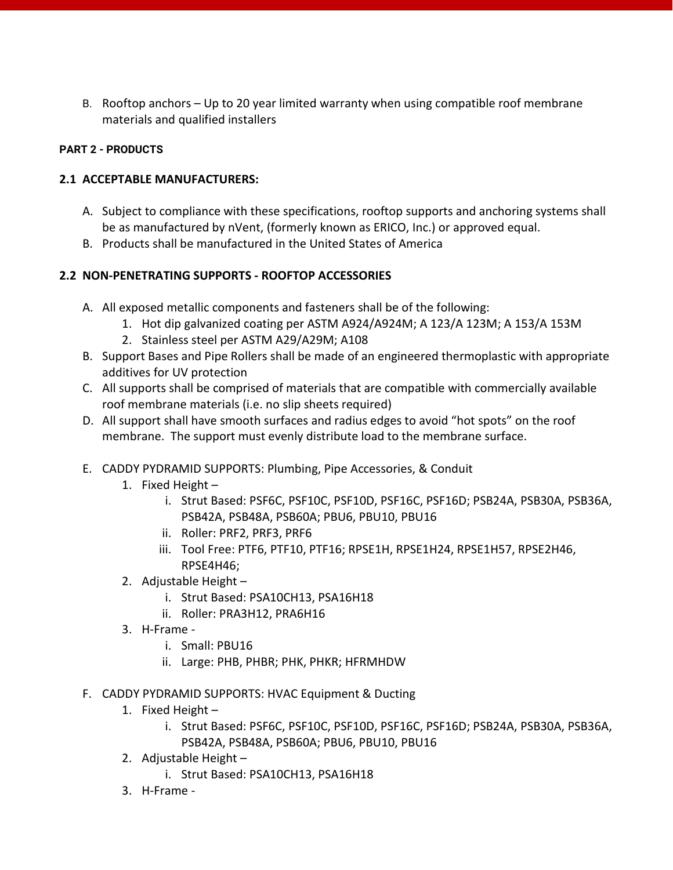B. Rooftop anchors – Up to 20 year limited warranty when using compatible roof membrane materials and qualified installers

## **PART 2 - PRODUCTS**

## **2.1 ACCEPTABLE MANUFACTURERS:**

- A. Subject to compliance with these specifications, rooftop supports and anchoring systems shall be as manufactured by nVent, (formerly known as ERICO, Inc.) or approved equal.
- B. Products shall be manufactured in the United States of America

# **2.2 NON-PENETRATING SUPPORTS - ROOFTOP ACCESSORIES**

- A. All exposed metallic components and fasteners shall be of the following:
	- 1. Hot dip galvanized coating per ASTM A924/A924M; A 123/A 123M; A 153/A 153M
		- 2. Stainless steel per ASTM A29/A29M; A108
- B. Support Bases and Pipe Rollers shall be made of an engineered thermoplastic with appropriate additives for UV protection
- C. All supports shall be comprised of materials that are compatible with commercially available roof membrane materials (i.e. no slip sheets required)
- D. All support shall have smooth surfaces and radius edges to avoid "hot spots" on the roof membrane. The support must evenly distribute load to the membrane surface.
- E. CADDY PYDRAMID SUPPORTS: Plumbing, Pipe Accessories, & Conduit
	- 1. Fixed Height
		- i. Strut Based: PSF6C, PSF10C, PSF10D, PSF16C, PSF16D; PSB24A, PSB30A, PSB36A, PSB42A, PSB48A, PSB60A; PBU6, PBU10, PBU16
		- ii. Roller: PRF2, PRF3, PRF6
		- iii. Tool Free: PTF6, PTF10, PTF16; [RPSE1H,](https://www.erico.com/part.asp?part=RPSE1H) RPSE1H24, RPSE1H57, RPSE2H46, RPSE4H46;
	- 2. Adjustable Height
		- i. Strut Based: PSA10CH13, PSA16H18
		- ii. Roller: PRA3H12, PRA6H16
	- 3. H-Frame
		- i. Small: PBU16
		- ii. Large: PHB, PHBR; PHK, PHKR; HFRMHDW
- F. CADDY PYDRAMID SUPPORTS: HVAC Equipment & Ducting
	- 1. Fixed Height
		- i. Strut Based: PSF6C, PSF10C, PSF10D, PSF16C, PSF16D; PSB24A, PSB30A, PSB36A, PSB42A, PSB48A, PSB60A; PBU6, PBU10, PBU16
	- 2. Adjustable Height
		- i. Strut Based: PSA10CH13, PSA16H18
	- 3. H-Frame -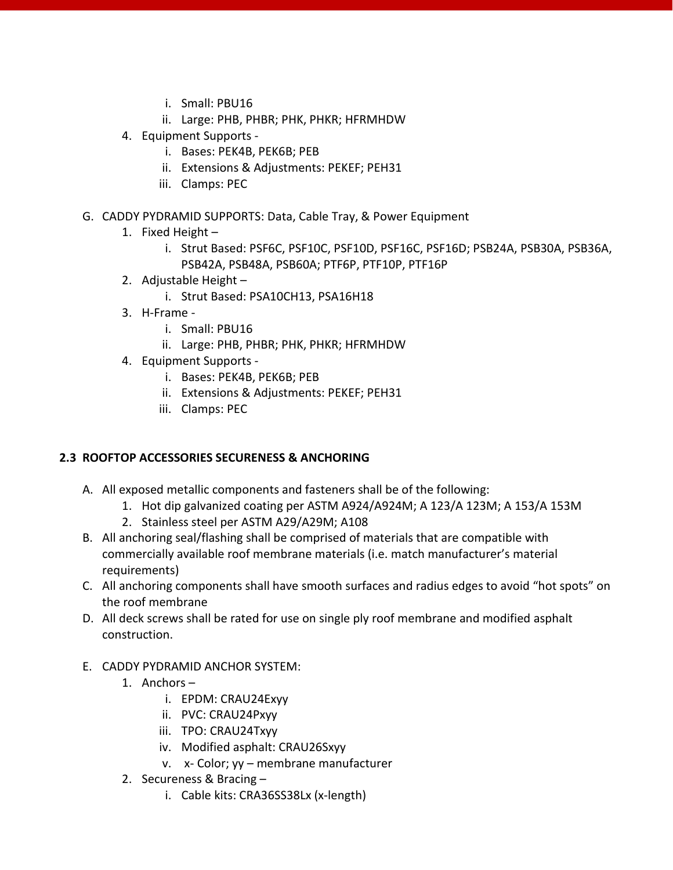- i. Small: PBU16
- ii. Large: PHB, PHBR; PHK, PHKR; HFRMHDW
- 4. Equipment Supports
	- i. Bases: PEK4B, PEK6B; PEB
	- ii. Extensions & Adjustments: PEKEF; PEH31
	- iii. Clamps: PEC
- G. CADDY PYDRAMID SUPPORTS: Data, Cable Tray, & Power Equipment
	- 1. Fixed Height
		- i. Strut Based: PSF6C, PSF10C, PSF10D, PSF16C, PSF16D; PSB24A, PSB30A, PSB36A, PSB42A, PSB48A, PSB60A; PTF6P, PTF10P, PTF16P
	- 2. Adjustable Height
		- i. Strut Based: PSA10CH13, PSA16H18
	- 3. H-Frame
		- i. Small: PBU16
		- ii. Large: PHB, PHBR; PHK, PHKR; HFRMHDW
	- 4. Equipment Supports
		- i. Bases: PEK4B, PEK6B; PEB
		- ii. Extensions & Adjustments: PEKEF; PEH31
		- iii. Clamps: PEC

### **2.3 ROOFTOP ACCESSORIES SECURENESS & ANCHORING**

- A. All exposed metallic components and fasteners shall be of the following:
	- 1. Hot dip galvanized coating per ASTM A924/A924M; A 123/A 123M; A 153/A 153M
		- 2. Stainless steel per ASTM A29/A29M; A108
- B. All anchoring seal/flashing shall be comprised of materials that are compatible with commercially available roof membrane materials (i.e. match manufacturer's material requirements)
- C. All anchoring components shall have smooth surfaces and radius edges to avoid "hot spots" on the roof membrane
- D. All deck screws shall be rated for use on single ply roof membrane and modified asphalt construction.
- E. CADDY PYDRAMID ANCHOR SYSTEM:
	- 1. Anchors
		- i. EPDM: CRAU24Exyy
		- ii. PVC: CRAU24Pxyy
		- iii. TPO: CRAU24Txyy
		- iv. Modified asphalt: CRAU26Sxyy
		- v. x- Color; yy membrane manufacturer
	- 2. Secureness & Bracing
		- i. Cable kits: CRA36SS38Lx (x-length)